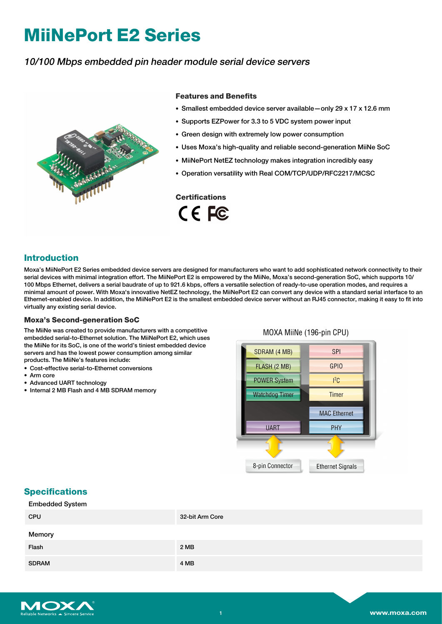# **MiiNePort E2 Series**

## 10/100 Mbps embedded pin header module serial device servers



#### **Features and Benefits**

- Smallest embedded device server available—only 29 x 17 x 12.6 mm
- Supports EZPower for 3.3 to 5 VDC system power input
- Green design with extremely low power consumption
- Uses Moxa's high-quality and reliable second-generation MiiNe SoC
- MiiNePort NetEZ technology makes integration incredibly easy
- Operation versatility with Real COM/TCP/UDP/RFC2217/MCSC

#### **Certifications**

CE FC

## **Introduction**

Moxa's MiiNePort E2 Series embedded device servers are designed for manufacturers who want to add sophisticated network connectivity to their serial devices with minimal integration effort. The MiiNePort E2 is empowered by the MiiNe, Moxa's second-generation SoC, which supports 10/ 100 Mbps Ethernet, delivers a serial baudrate of up to 921.6 kbps, offers a versatile selection of ready-to-use operation modes, and requires a minimal amount of power. With Moxa's innovative NetEZ technology, the MiiNePort E2 can convert any device with a standard serial interface to an Ethernet-enabled device. In addition, the MiiNePort E2 is the smallest embedded device server without an RJ45 connector, making it easy to fit into virtually any existing serial device.

#### **Moxa's Second-generation SoC**

The MiiNe was created to provide manufacturers with a competitive embedded serial-to-Ethernet solution. The MiiNePort E2, which uses the MiiNe for its SoC, is one of the world's tiniest embedded device servers and has the lowest power consumption among similar products. The MiiNe's features include:

- Cost-effective serial-to-Ethernet conversions
- Arm core
- Advanced UART technology
- Internal 2 MB Flash and 4 MB SDRAM memory

#### MOXA MiiNe (196-pin CPU)



## **Specifications**

| <b>Embedded System</b> |                 |
|------------------------|-----------------|
| <b>CPU</b>             | 32-bit Arm Core |
| Memory                 |                 |
| Flash                  | 2 MB            |
| <b>SDRAM</b>           | 4 MB            |

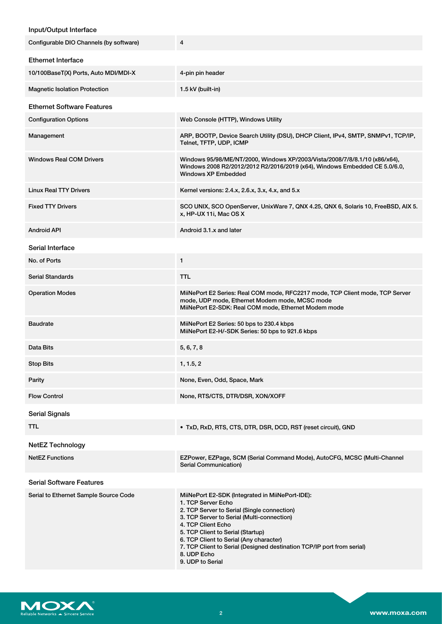### Input/Output Interface

| Configurable DIO Channels (by software) | 4                                                                                                                                                                                                                                                                                                                                                                                     |  |  |
|-----------------------------------------|---------------------------------------------------------------------------------------------------------------------------------------------------------------------------------------------------------------------------------------------------------------------------------------------------------------------------------------------------------------------------------------|--|--|
| <b>Ethernet Interface</b>               |                                                                                                                                                                                                                                                                                                                                                                                       |  |  |
| 10/100BaseT(X) Ports, Auto MDI/MDI-X    | 4-pin pin header                                                                                                                                                                                                                                                                                                                                                                      |  |  |
| <b>Magnetic Isolation Protection</b>    | 1.5 kV (built-in)                                                                                                                                                                                                                                                                                                                                                                     |  |  |
| <b>Ethernet Software Features</b>       |                                                                                                                                                                                                                                                                                                                                                                                       |  |  |
| <b>Configuration Options</b>            | Web Console (HTTP), Windows Utility                                                                                                                                                                                                                                                                                                                                                   |  |  |
| Management                              | ARP, BOOTP, Device Search Utility (DSU), DHCP Client, IPv4, SMTP, SNMPv1, TCP/IP,<br>Telnet, TFTP, UDP, ICMP                                                                                                                                                                                                                                                                          |  |  |
| <b>Windows Real COM Drivers</b>         | Windows 95/98/ME/NT/2000, Windows XP/2003/Vista/2008/7/8/8.1/10 (x86/x64),<br>Windows 2008 R2/2012/2012 R2/2016/2019 (x64), Windows Embedded CE 5.0/6.0,<br>Windows XP Embedded                                                                                                                                                                                                       |  |  |
| <b>Linux Real TTY Drivers</b>           | Kernel versions: 2.4.x, 2.6.x, 3.x, 4.x, and 5.x                                                                                                                                                                                                                                                                                                                                      |  |  |
| <b>Fixed TTY Drivers</b>                | SCO UNIX, SCO OpenServer, UnixWare 7, QNX 4.25, QNX 6, Solaris 10, FreeBSD, AIX 5.<br>x, HP-UX 11i, Mac OS X                                                                                                                                                                                                                                                                          |  |  |
| <b>Android API</b>                      | Android 3.1.x and later                                                                                                                                                                                                                                                                                                                                                               |  |  |
| Serial Interface                        |                                                                                                                                                                                                                                                                                                                                                                                       |  |  |
| No. of Ports                            | $\mathbf{1}$                                                                                                                                                                                                                                                                                                                                                                          |  |  |
| <b>Serial Standards</b>                 | TTL                                                                                                                                                                                                                                                                                                                                                                                   |  |  |
| <b>Operation Modes</b>                  | MiiNePort E2 Series: Real COM mode, RFC2217 mode, TCP Client mode, TCP Server<br>mode, UDP mode, Ethernet Modem mode, MCSC mode<br>MiiNePort E2-SDK: Real COM mode, Ethernet Modem mode                                                                                                                                                                                               |  |  |
| <b>Baudrate</b>                         | MiiNePort E2 Series: 50 bps to 230.4 kbps<br>MiiNePort E2-H/-SDK Series: 50 bps to 921.6 kbps                                                                                                                                                                                                                                                                                         |  |  |
| Data Bits                               | 5, 6, 7, 8                                                                                                                                                                                                                                                                                                                                                                            |  |  |
| <b>Stop Bits</b>                        | 1, 1.5, 2                                                                                                                                                                                                                                                                                                                                                                             |  |  |
| Parity                                  | None, Even, Odd, Space, Mark                                                                                                                                                                                                                                                                                                                                                          |  |  |
| <b>Flow Control</b>                     | None, RTS/CTS, DTR/DSR, XON/XOFF                                                                                                                                                                                                                                                                                                                                                      |  |  |
| <b>Serial Signals</b>                   |                                                                                                                                                                                                                                                                                                                                                                                       |  |  |
| TTL                                     | • TxD, RxD, RTS, CTS, DTR, DSR, DCD, RST (reset circuit), GND                                                                                                                                                                                                                                                                                                                         |  |  |
| <b>NetEZ Technology</b>                 |                                                                                                                                                                                                                                                                                                                                                                                       |  |  |
| <b>NetEZ Functions</b>                  | EZPower, EZPage, SCM (Serial Command Mode), AutoCFG, MCSC (Multi-Channel<br><b>Serial Communication)</b>                                                                                                                                                                                                                                                                              |  |  |
| <b>Serial Software Features</b>         |                                                                                                                                                                                                                                                                                                                                                                                       |  |  |
| Serial to Ethernet Sample Source Code   | MiiNePort E2-SDK (Integrated in MiiNePort-IDE):<br>1. TCP Server Echo<br>2. TCP Server to Serial (Single connection)<br>3. TCP Server to Serial (Multi-connection)<br>4. TCP Client Echo<br>5. TCP Client to Serial (Startup)<br>6. TCP Client to Serial (Any character)<br>7. TCP Client to Serial (Designed destination TCP/IP port from serial)<br>8. UDP Echo<br>9. UDP to Serial |  |  |

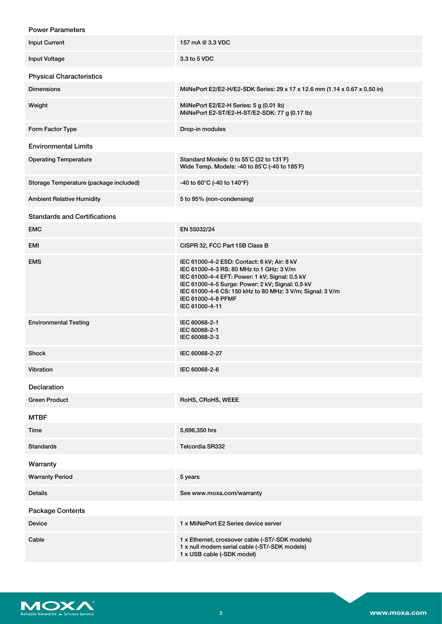| <b>Power Parameters</b>                |                                                                                                                                                                                                                                                                                                    |  |  |  |
|----------------------------------------|----------------------------------------------------------------------------------------------------------------------------------------------------------------------------------------------------------------------------------------------------------------------------------------------------|--|--|--|
| <b>Input Current</b>                   | 157 mA @ 3.3 VDC                                                                                                                                                                                                                                                                                   |  |  |  |
| <b>Input Voltage</b>                   | 3.3 to 5 VDC                                                                                                                                                                                                                                                                                       |  |  |  |
| <b>Physical Characteristics</b>        |                                                                                                                                                                                                                                                                                                    |  |  |  |
| <b>Dimensions</b>                      | MiiNePort E2/E2-H/E2-SDK Series: 29 x 17 x 12.6 mm (1.14 x 0.67 x 0.50 in)                                                                                                                                                                                                                         |  |  |  |
| Weight                                 | MiiNePort E2/E2-H Series: 5 g (0.01 lb)<br>MiiNePort E2-ST/E2-H-ST/E2-SDK: 77 g (0.17 lb)                                                                                                                                                                                                          |  |  |  |
| Form Factor Type                       | Drop-in modules                                                                                                                                                                                                                                                                                    |  |  |  |
| <b>Environmental Limits</b>            |                                                                                                                                                                                                                                                                                                    |  |  |  |
| <b>Operating Temperature</b>           | Standard Models: 0 to 55°C (32 to 131°F)<br>Wide Temp. Models: -40 to 85°C (-40 to 185°F)                                                                                                                                                                                                          |  |  |  |
| Storage Temperature (package included) | -40 to 60°C (-40 to 140°F)                                                                                                                                                                                                                                                                         |  |  |  |
| <b>Ambient Relative Humidity</b>       | 5 to 95% (non-condensing)                                                                                                                                                                                                                                                                          |  |  |  |
| <b>Standards and Certifications</b>    |                                                                                                                                                                                                                                                                                                    |  |  |  |
| EMC                                    | EN 55032/24                                                                                                                                                                                                                                                                                        |  |  |  |
| EMI                                    | CISPR 32, FCC Part 15B Class B                                                                                                                                                                                                                                                                     |  |  |  |
| <b>EMS</b>                             | IEC 61000-4-2 ESD: Contact: 6 kV; Air: 8 kV<br>IEC 61000-4-3 RS: 80 MHz to 1 GHz: 3 V/m<br>IEC 61000-4-4 EFT: Power: 1 kV; Signal: 0.5 kV<br>IEC 61000-4-5 Surge: Power: 2 kV; Signal: 0.5 kV<br>IEC 61000-4-6 CS: 150 kHz to 80 MHz: 3 V/m; Signal: 3 V/m<br>IEC 61000-4-8 PFMF<br>IEC 61000-4-11 |  |  |  |
| <b>Environmental Testing</b>           | IEC 60068-2-1<br>IEC 60068-2-1<br>IEC 60068-2-3                                                                                                                                                                                                                                                    |  |  |  |
| <b>Shock</b>                           | IEC 60068-2-27                                                                                                                                                                                                                                                                                     |  |  |  |
| Vibration                              | IEC 60068-2-6                                                                                                                                                                                                                                                                                      |  |  |  |
| Declaration                            |                                                                                                                                                                                                                                                                                                    |  |  |  |
| <b>Green Product</b>                   | RoHS, CRoHS, WEEE                                                                                                                                                                                                                                                                                  |  |  |  |
| <b>MTBF</b>                            |                                                                                                                                                                                                                                                                                                    |  |  |  |
| Time                                   | 5,696,350 hrs                                                                                                                                                                                                                                                                                      |  |  |  |
| <b>Standards</b>                       | <b>Telcordia SR332</b>                                                                                                                                                                                                                                                                             |  |  |  |
| Warranty                               |                                                                                                                                                                                                                                                                                                    |  |  |  |
| <b>Warranty Period</b>                 | 5 years                                                                                                                                                                                                                                                                                            |  |  |  |
| <b>Details</b>                         | See www.moxa.com/warranty                                                                                                                                                                                                                                                                          |  |  |  |
| Package Contents                       |                                                                                                                                                                                                                                                                                                    |  |  |  |
| Device                                 | 1 x MiiNePort E2 Series device server                                                                                                                                                                                                                                                              |  |  |  |
| Cable                                  | 1 x Ethernet, crossover cable (-ST/-SDK models)<br>1 x null modem serial cable (-ST/-SDK models)<br>1 x USB cable (-SDK model)                                                                                                                                                                     |  |  |  |